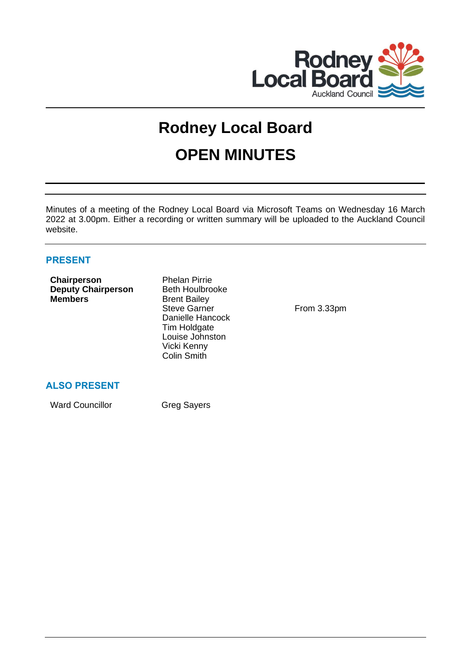

# **Rodney Local Board OPEN MINUTES**

Minutes of a meeting of the Rodney Local Board via Microsoft Teams on Wednesday 16 March 2022 at 3.00pm. Either a recording or written summary will be uploaded to the Auckland Council website.

# **PRESENT**

| Chairperson<br><b>Deputy Chairperson</b><br><b>Members</b> | <b>Phelan Pirrie</b><br><b>Beth Houlbrooke</b><br><b>Brent Bailey</b><br><b>Steve Garner</b><br>Danielle Hancock<br>Tim Holdgate<br>Louise Johnston<br>Vicki Kenny<br><b>Colin Smith</b> |  |
|------------------------------------------------------------|------------------------------------------------------------------------------------------------------------------------------------------------------------------------------------------|--|
| <b>ALSO PRESENT</b>                                        |                                                                                                                                                                                          |  |

Ward Councillor Greg Sayers

From 3.33pm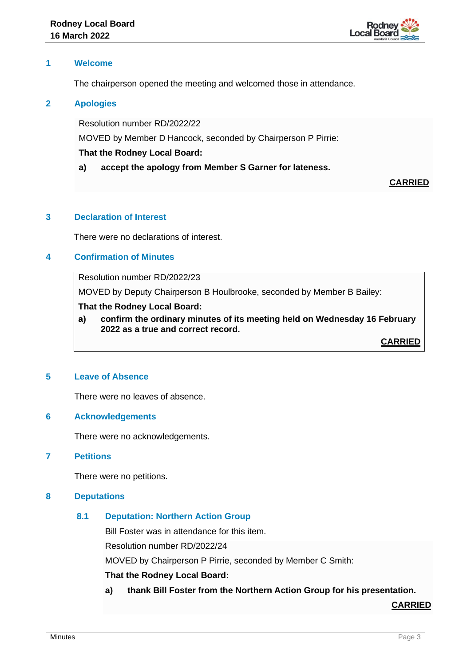

### **1 Welcome**

The chairperson opened the meeting and welcomed those in attendance.

### **2 Apologies**

Resolution number RD/2022/22

MOVED by Member D Hancock, seconded by Chairperson P Pirrie:

#### **That the Rodney Local Board:**

**a) accept the apology from Member S Garner for lateness.**

# **CARRIED**

## **3 Declaration of Interest**

There were no declarations of interest.

# **4 Confirmation of Minutes**

# Resolution number RD/2022/23

MOVED by Deputy Chairperson B Houlbrooke, seconded by Member B Bailey:

# **That the Rodney Local Board:**

**a) confirm the ordinary minutes of its meeting held on Wednesday 16 February 2022 as a true and correct record.**

**CARRIED**

# **5 Leave of Absence**

There were no leaves of absence.

#### **6 Acknowledgements**

There were no acknowledgements.

# **7 Petitions**

There were no petitions.

# **8 Deputations**

# **8.1 Deputation: Northern Action Group**

Bill Foster was in attendance for this item.

Resolution number RD/2022/24

MOVED by Chairperson P Pirrie, seconded by Member C Smith:

#### **That the Rodney Local Board:**

**a) thank Bill Foster from the Northern Action Group for his presentation.**

**CARRIED**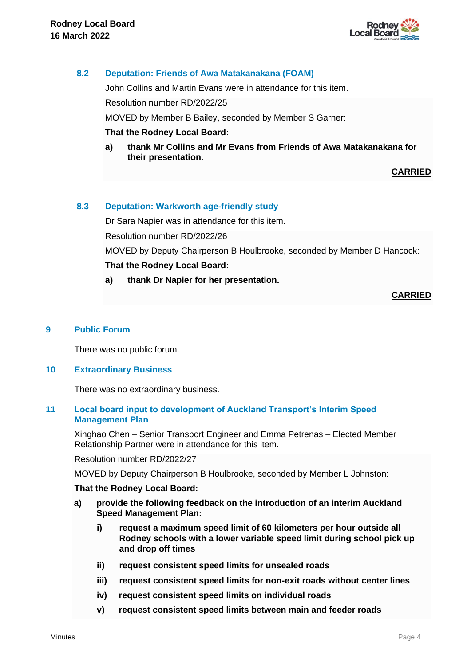

# **8.2 Deputation: Friends of Awa Matakanakana (FOAM)**

John Collins and Martin Evans were in attendance for this item.

Resolution number RD/2022/25

MOVED by Member B Bailey, seconded by Member S Garner:

#### **That the Rodney Local Board:**

**a) thank Mr Collins and Mr Evans from Friends of Awa Matakanakana for their presentation.**

# **CARRIED**

# **8.3 Deputation: Warkworth age-friendly study**

Dr Sara Napier was in attendance for this item. Resolution number RD/2022/26 MOVED by Deputy Chairperson B Houlbrooke, seconded by Member D Hancock: **That the Rodney Local Board:**

**a) thank Dr Napier for her presentation.**

# **CARRIED**

### **9 Public Forum**

There was no public forum.

#### **10 Extraordinary Business**

There was no extraordinary business.

# **11 Local board input to development of Auckland Transport's Interim Speed Management Plan**

Xinghao Chen – Senior Transport Engineer and Emma Petrenas – Elected Member Relationship Partner were in attendance for this item.

Resolution number RD/2022/27

MOVED by Deputy Chairperson B Houlbrooke, seconded by Member L Johnston:

#### **That the Rodney Local Board:**

- **a) provide the following feedback on the introduction of an interim Auckland Speed Management Plan:**
	- **i) request a maximum speed limit of 60 kilometers per hour outside all Rodney schools with a lower variable speed limit during school pick up and drop off times**
	- **ii) request consistent speed limits for unsealed roads**
	- **iii) request consistent speed limits for non-exit roads without center lines**
	- **iv) request consistent speed limits on individual roads**
	- **v) request consistent speed limits between main and feeder roads**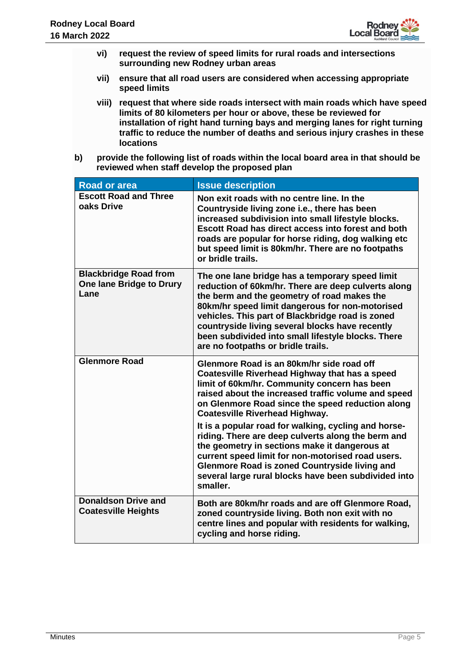

- **vi) request the review of speed limits for rural roads and intersections surrounding new Rodney urban areas**
- **vii) ensure that all road users are considered when accessing appropriate speed limits**
- **viii) request that where side roads intersect with main roads which have speed limits of 80 kilometers per hour or above, these be reviewed for installation of right hand turning bays and merging lanes for right turning traffic to reduce the number of deaths and serious injury crashes in these locations**
- **b) provide the following list of roads within the local board area in that should be reviewed when staff develop the proposed plan**

| <b>Road or area</b>                                                     | <b>Issue description</b>                                                                                                                                                                                                                                                                                                                                                                                                                                       |
|-------------------------------------------------------------------------|----------------------------------------------------------------------------------------------------------------------------------------------------------------------------------------------------------------------------------------------------------------------------------------------------------------------------------------------------------------------------------------------------------------------------------------------------------------|
| <b>Escott Road and Three</b><br>oaks Drive                              | Non exit roads with no centre line. In the<br>Countryside living zone i.e., there has been<br>increased subdivision into small lifestyle blocks.<br><b>Escott Road has direct access into forest and both</b><br>roads are popular for horse riding, dog walking etc<br>but speed limit is 80km/hr. There are no footpaths<br>or bridle trails.                                                                                                                |
| <b>Blackbridge Road from</b><br><b>One lane Bridge to Drury</b><br>Lane | The one lane bridge has a temporary speed limit<br>reduction of 60km/hr. There are deep culverts along<br>the berm and the geometry of road makes the<br>80km/hr speed limit dangerous for non-motorised<br>vehicles. This part of Blackbridge road is zoned<br>countryside living several blocks have recently<br>been subdivided into small lifestyle blocks. There<br>are no footpaths or bridle trails.                                                    |
| <b>Glenmore Road</b>                                                    | Glenmore Road is an 80km/hr side road off<br>Coatesville Riverhead Highway that has a speed<br>limit of 60km/hr. Community concern has been<br>raised about the increased traffic volume and speed<br>on Glenmore Road since the speed reduction along<br><b>Coatesville Riverhead Highway.</b><br>It is a popular road for walking, cycling and horse-<br>riding. There are deep culverts along the berm and<br>the geometry in sections make it dangerous at |
|                                                                         | current speed limit for non-motorised road users.<br><b>Glenmore Road is zoned Countryside living and</b><br>several large rural blocks have been subdivided into<br>smaller.                                                                                                                                                                                                                                                                                  |
| <b>Donaldson Drive and</b><br><b>Coatesville Heights</b>                | Both are 80km/hr roads and are off Glenmore Road,<br>zoned countryside living. Both non exit with no<br>centre lines and popular with residents for walking,<br>cycling and horse riding.                                                                                                                                                                                                                                                                      |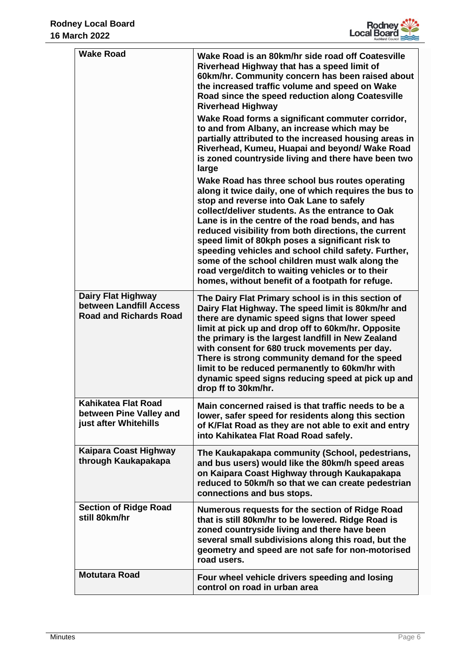

| <b>Wake Road</b>                                                               | Wake Road is an 80km/hr side road off Coatesville<br>Riverhead Highway that has a speed limit of<br>60km/hr. Community concern has been raised about<br>the increased traffic volume and speed on Wake<br>Road since the speed reduction along Coatesville<br><b>Riverhead Highway</b><br>Wake Road forms a significant commuter corridor,<br>to and from Albany, an increase which may be<br>partially attributed to the increased housing areas in<br>Riverhead, Kumeu, Huapai and beyond/ Wake Road<br>is zoned countryside living and there have been two<br>large<br>Wake Road has three school bus routes operating<br>along it twice daily, one of which requires the bus to<br>stop and reverse into Oak Lane to safely<br>collect/deliver students. As the entrance to Oak<br>Lane is in the centre of the road bends, and has<br>reduced visibility from both directions, the current<br>speed limit of 80kph poses a significant risk to<br>speeding vehicles and school child safety. Further,<br>some of the school children must walk along the<br>road verge/ditch to waiting vehicles or to their<br>homes, without benefit of a footpath for refuge. |
|--------------------------------------------------------------------------------|-----------------------------------------------------------------------------------------------------------------------------------------------------------------------------------------------------------------------------------------------------------------------------------------------------------------------------------------------------------------------------------------------------------------------------------------------------------------------------------------------------------------------------------------------------------------------------------------------------------------------------------------------------------------------------------------------------------------------------------------------------------------------------------------------------------------------------------------------------------------------------------------------------------------------------------------------------------------------------------------------------------------------------------------------------------------------------------------------------------------------------------------------------------------------|
| Dairy Flat Highway<br>between Landfill Access<br><b>Road and Richards Road</b> | The Dairy Flat Primary school is in this section of<br>Dairy Flat Highway. The speed limit is 80km/hr and<br>there are dynamic speed signs that lower speed<br>limit at pick up and drop off to 60km/hr. Opposite<br>the primary is the largest landfill in New Zealand<br>with consent for 680 truck movements per day.<br>There is strong community demand for the speed<br>limit to be reduced permanently to 60km/hr with<br>dynamic speed signs reducing speed at pick up and<br>drop ff to 30km/hr.                                                                                                                                                                                                                                                                                                                                                                                                                                                                                                                                                                                                                                                             |
| Kahikatea Flat Road<br>between Pine Valley and<br>just after Whitehills        | Main concerned raised is that traffic needs to be a<br>lower, safer speed for residents along this section<br>of K/Flat Road as they are not able to exit and entry<br>into Kahikatea Flat Road Road safely.                                                                                                                                                                                                                                                                                                                                                                                                                                                                                                                                                                                                                                                                                                                                                                                                                                                                                                                                                          |
| Kaipara Coast Highway<br>through Kaukapakapa                                   | The Kaukapakapa community (School, pedestrians,<br>and bus users) would like the 80km/h speed areas<br>on Kaipara Coast Highway through Kaukapakapa<br>reduced to 50km/h so that we can create pedestrian<br>connections and bus stops.                                                                                                                                                                                                                                                                                                                                                                                                                                                                                                                                                                                                                                                                                                                                                                                                                                                                                                                               |
| <b>Section of Ridge Road</b><br>still 80km/hr                                  | Numerous requests for the section of Ridge Road<br>that is still 80km/hr to be lowered. Ridge Road is<br>zoned countryside living and there have been<br>several small subdivisions along this road, but the<br>geometry and speed are not safe for non-motorised<br>road users.                                                                                                                                                                                                                                                                                                                                                                                                                                                                                                                                                                                                                                                                                                                                                                                                                                                                                      |
| <b>Motutara Road</b>                                                           | Four wheel vehicle drivers speeding and losing<br>control on road in urban area                                                                                                                                                                                                                                                                                                                                                                                                                                                                                                                                                                                                                                                                                                                                                                                                                                                                                                                                                                                                                                                                                       |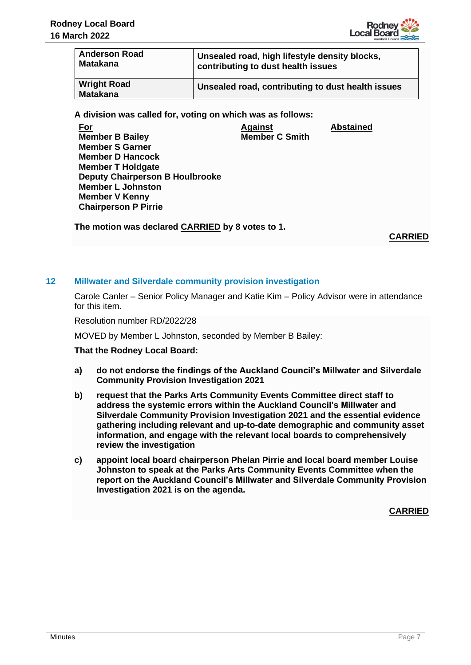

**Abstained**

| <b>Anderson Road</b>                  | Unsealed road, high lifestyle density blocks,     |
|---------------------------------------|---------------------------------------------------|
| <b>Matakana</b>                       | contributing to dust health issues                |
| <b>Wright Road</b><br><b>Matakana</b> | Unsealed road, contributing to dust health issues |

**A division was called for, voting on which was as follows:**

**For Member B Bailey Member S Garner Member D Hancock Member T Holdgate Deputy Chairperson B Houlbrooke Member L Johnston Member V Kenny Chairperson P Pirrie Against Member C Smith**

**The motion was declared CARRIED by 8 votes to 1.**

**CARRIED**

# **12 Millwater and Silverdale community provision investigation**

Carole Canler – Senior Policy Manager and Katie Kim – Policy Advisor were in attendance for this item.

Resolution number RD/2022/28

MOVED by Member L Johnston, seconded by Member B Bailey:

#### **That the Rodney Local Board:**

- **a) do not endorse the findings of the Auckland Council's Millwater and Silverdale Community Provision Investigation 2021**
- **b) request that the Parks Arts Community Events Committee direct staff to address the systemic errors within the Auckland Council's Millwater and Silverdale Community Provision Investigation 2021 and the essential evidence gathering including relevant and up-to-date demographic and community asset information, and engage with the relevant local boards to comprehensively review the investigation**
- **c) appoint local board chairperson Phelan Pirrie and local board member Louise Johnston to speak at the Parks Arts Community Events Committee when the report on the Auckland Council's Millwater and Silverdale Community Provision Investigation 2021 is on the agenda.**

**CARRIED**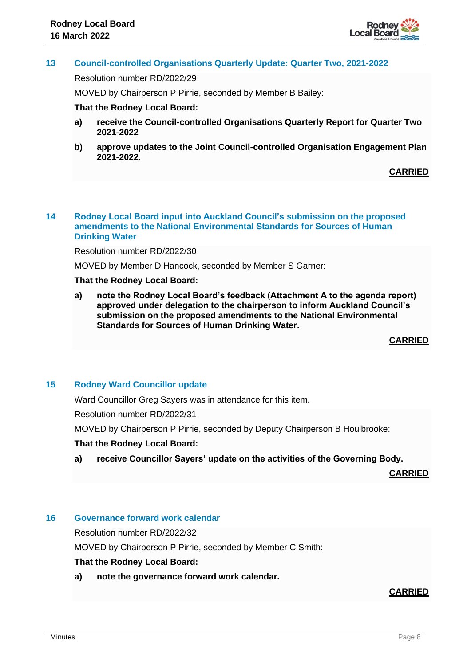

# **13 Council-controlled Organisations Quarterly Update: Quarter Two, 2021-2022**

Resolution number RD/2022/29

MOVED by Chairperson P Pirrie, seconded by Member B Bailey:

#### **That the Rodney Local Board:**

- **a) receive the Council-controlled Organisations Quarterly Report for Quarter Two 2021-2022**
- **b) approve updates to the Joint Council-controlled Organisation Engagement Plan 2021-2022.**

# **CARRIED**

#### **14 Rodney Local Board input into Auckland Council's submission on the proposed amendments to the National Environmental Standards for Sources of Human Drinking Water**

Resolution number RD/2022/30

MOVED by Member D Hancock, seconded by Member S Garner:

#### **That the Rodney Local Board:**

**a) note the Rodney Local Board's feedback (Attachment A to the agenda report) approved under delegation to the chairperson to inform Auckland Council's submission on the proposed amendments to the National Environmental Standards for Sources of Human Drinking Water.**

**CARRIED**

# **15 Rodney Ward Councillor update**

Ward Councillor Greg Sayers was in attendance for this item.

Resolution number RD/2022/31

MOVED by Chairperson P Pirrie, seconded by Deputy Chairperson B Houlbrooke:

#### **That the Rodney Local Board:**

**a) receive Councillor Sayers' update on the activities of the Governing Body.**

**CARRIED**

# **16 Governance forward work calendar**

Resolution number RD/2022/32

MOVED by Chairperson P Pirrie, seconded by Member C Smith:

#### **That the Rodney Local Board:**

**a) note the governance forward work calendar.**

# **CARRIED**